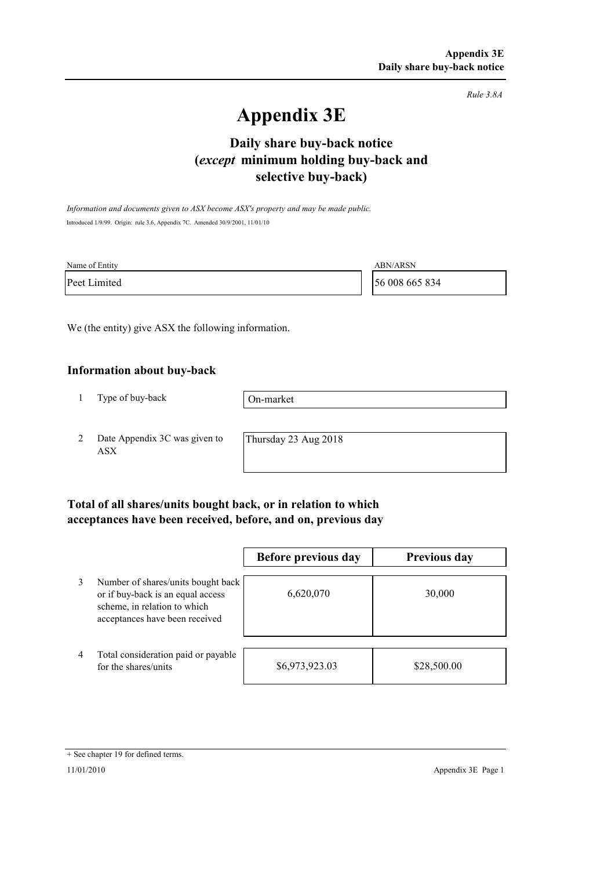*Rule 3.8A*

# **Appendix 3E**

# **selective buy-back) Daily share buy-back notice (***except* **minimum holding buy-back and**

*Information and documents given to ASX become ASX's property and may be made public.* Introduced 1/9/99. Origin: rule 3.6, Appendix 7C. Amended 30/9/2001, 11/01/10

| Name of Entity | <b>ABN/ARSN</b> |
|----------------|-----------------|
| Peet Limited   | 56 008 665 834  |

We (the entity) give ASX the following information.

#### **Information about buy-back**

1 Type of buy-back

On-market

2 Date Appendix 3C was given to ASX

Thursday 23 Aug 2018

### **Total of all shares/units bought back, or in relation to which acceptances have been received, before, and on, previous day**

|                |                                                                                                                                           | Before previous day | <b>Previous day</b> |
|----------------|-------------------------------------------------------------------------------------------------------------------------------------------|---------------------|---------------------|
| 3              | Number of shares/units bought back<br>or if buy-back is an equal access<br>scheme, in relation to which<br>acceptances have been received | 6,620,070           | 30,000              |
| $\overline{4}$ | Total consideration paid or payable<br>for the shares/units                                                                               | \$6,973,923.03      | \$28,500.00         |

<sup>+</sup> See chapter 19 for defined terms.